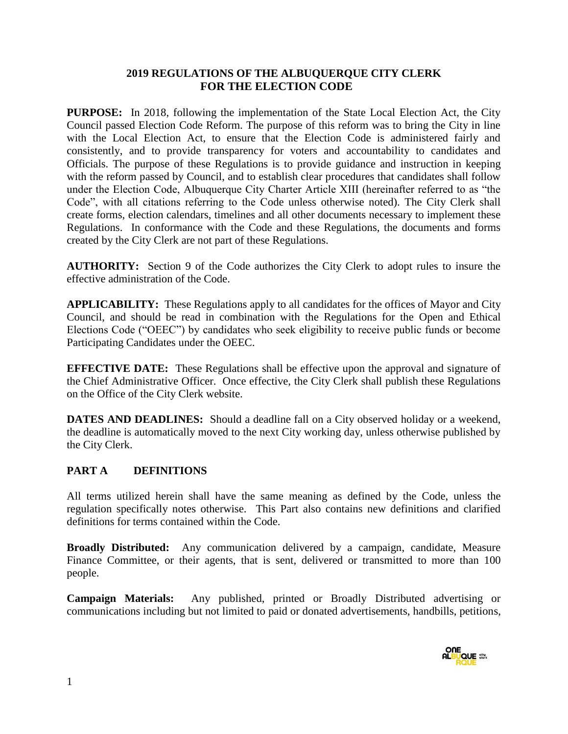#### **2019 REGULATIONS OF THE ALBUQUERQUE CITY CLERK FOR THE ELECTION CODE**

**PURPOSE:** In 2018, following the implementation of the State Local Election Act, the City Council passed Election Code Reform. The purpose of this reform was to bring the City in line with the Local Election Act, to ensure that the Election Code is administered fairly and consistently, and to provide transparency for voters and accountability to candidates and Officials. The purpose of these Regulations is to provide guidance and instruction in keeping with the reform passed by Council, and to establish clear procedures that candidates shall follow under the Election Code, Albuquerque City Charter Article XIII (hereinafter referred to as "the Code", with all citations referring to the Code unless otherwise noted). The City Clerk shall create forms, election calendars, timelines and all other documents necessary to implement these Regulations. In conformance with the Code and these Regulations, the documents and forms created by the City Clerk are not part of these Regulations.

**AUTHORITY:** Section 9 of the Code authorizes the City Clerk to adopt rules to insure the effective administration of the Code.

**APPLICABILITY:** These Regulations apply to all candidates for the offices of Mayor and City Council, and should be read in combination with the Regulations for the Open and Ethical Elections Code ("OEEC") by candidates who seek eligibility to receive public funds or become Participating Candidates under the OEEC.

**EFFECTIVE DATE:** These Regulations shall be effective upon the approval and signature of the Chief Administrative Officer. Once effective, the City Clerk shall publish these Regulations on the Office of the City Clerk website.

**DATES AND DEADLINES:** Should a deadline fall on a City observed holiday or a weekend, the deadline is automatically moved to the next City working day, unless otherwise published by the City Clerk.

#### **PART A DEFINITIONS**

All terms utilized herein shall have the same meaning as defined by the Code, unless the regulation specifically notes otherwise. This Part also contains new definitions and clarified definitions for terms contained within the Code.

**Broadly Distributed:** Any communication delivered by a campaign, candidate, Measure Finance Committee, or their agents, that is sent, delivered or transmitted to more than 100 people.

**Campaign Materials:** Any published, printed or Broadly Distributed advertising or communications including but not limited to paid or donated advertisements, handbills, petitions,

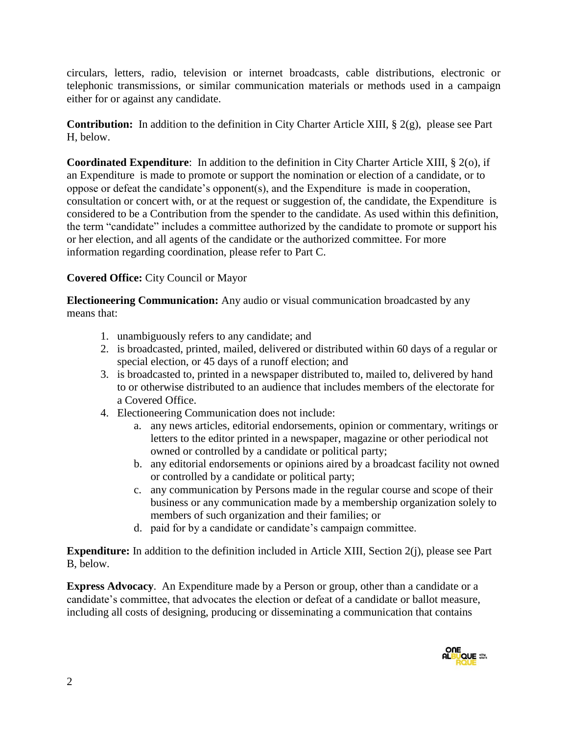circulars, letters, radio, television or internet broadcasts, cable distributions, electronic or telephonic transmissions, or similar communication materials or methods used in a campaign either for or against any candidate.

**Contribution:** In addition to the definition in City Charter Article XIII, § 2(g), please see Part H, below.

**Coordinated Expenditure**: In addition to the definition in City Charter Article XIII, § 2(o), if an Expenditure is made to promote or support the nomination or election of a candidate, or to oppose or defeat the candidate's opponent(s), and the Expenditure is made in cooperation, consultation or concert with, or at the request or suggestion of, the candidate, the Expenditure is considered to be a Contribution from the spender to the candidate. As used within this definition, the term "candidate" includes a committee authorized by the candidate to promote or support his or her election, and all agents of the candidate or the authorized committee. For more information regarding coordination, please refer to Part C.

### **Covered Office:** City Council or Mayor

**Electioneering Communication:** Any audio or visual communication broadcasted by any means that:

- 1. unambiguously refers to any candidate; and
- 2. is broadcasted, printed, mailed, delivered or distributed within 60 days of a regular or special election, or 45 days of a runoff election; and
- 3. is broadcasted to, printed in a newspaper distributed to, mailed to, delivered by hand to or otherwise distributed to an audience that includes members of the electorate for a Covered Office.
- 4. Electioneering Communication does not include:
	- a. any news articles, editorial endorsements, opinion or commentary, writings or letters to the editor printed in a newspaper, magazine or other periodical not owned or controlled by a candidate or political party;
	- b. any editorial endorsements or opinions aired by a broadcast facility not owned or controlled by a candidate or political party;
	- c. any communication by Persons made in the regular course and scope of their business or any communication made by a membership organization solely to members of such organization and their families; or
	- d. paid for by a candidate or candidate's campaign committee.

**Expenditure:** In addition to the definition included in Article XIII, Section 2(j), please see Part B, below.

**Express Advocacy**. An Expenditure made by a Person or group, other than a candidate or a candidate's committee, that advocates the election or defeat of a candidate or ballot measure, including all costs of designing, producing or disseminating a communication that contains

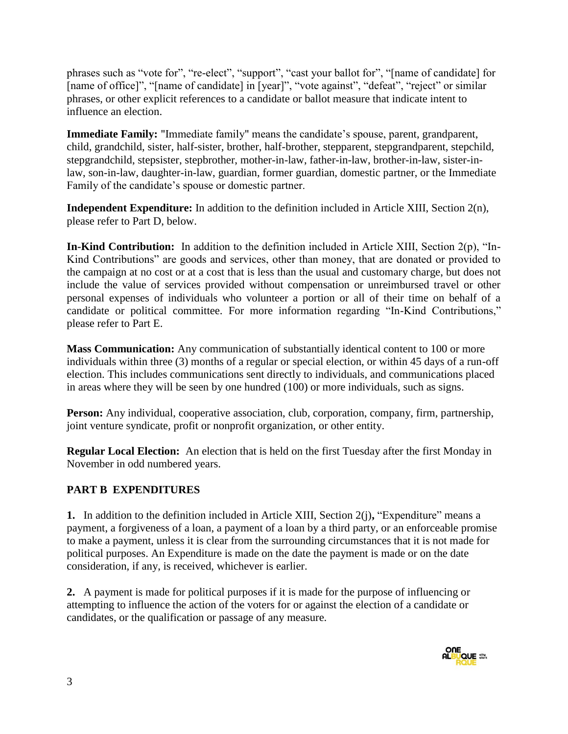phrases such as "vote for", "re-elect", "support", "cast your ballot for", "[name of candidate] for [name of office]", "[name of candidate] in [year]", "vote against", "defeat", "reject" or similar phrases, or other explicit references to a candidate or ballot measure that indicate intent to influence an election.

**Immediate Family:** "Immediate family" means the candidate's spouse, parent, grandparent, child, grandchild, sister, half-sister, brother, half-brother, stepparent, stepgrandparent, stepchild, stepgrandchild, stepsister, stepbrother, mother-in-law, father-in-law, brother-in-law, sister-inlaw, son-in-law, daughter-in-law, guardian, former guardian, domestic partner, or the Immediate Family of the candidate's spouse or domestic partner.

**Independent Expenditure:** In addition to the definition included in Article XIII, Section 2(n), please refer to Part D, below.

**In-Kind Contribution:** In addition to the definition included in Article XIII, Section 2(p), "In-Kind Contributions" are goods and services, other than money, that are donated or provided to the campaign at no cost or at a cost that is less than the usual and customary charge, but does not include the value of services provided without compensation or unreimbursed travel or other personal expenses of individuals who volunteer a portion or all of their time on behalf of a candidate or political committee. For more information regarding "In-Kind Contributions," please refer to Part E.

**Mass Communication:** Any communication of substantially identical content to 100 or more individuals within three (3) months of a regular or special election, or within 45 days of a run-off election. This includes communications sent directly to individuals, and communications placed in areas where they will be seen by one hundred (100) or more individuals, such as signs.

**Person:** Any individual, cooperative association, club, corporation, company, firm, partnership, joint venture syndicate, profit or nonprofit organization, or other entity.

**Regular Local Election:** An election that is held on the first Tuesday after the first Monday in November in odd numbered years.

### **PART B EXPENDITURES**

**1.** In addition to the definition included in Article XIII, Section 2(j)**,** "Expenditure" means a payment, a forgiveness of a loan, a payment of a loan by a third party, or an enforceable promise to make a payment, unless it is clear from the surrounding circumstances that it is not made for political purposes. An Expenditure is made on the date the payment is made or on the date consideration, if any, is received, whichever is earlier.

**2.** A payment is made for political purposes if it is made for the purpose of influencing or attempting to influence the action of the voters for or against the election of a candidate or candidates, or the qualification or passage of any measure.

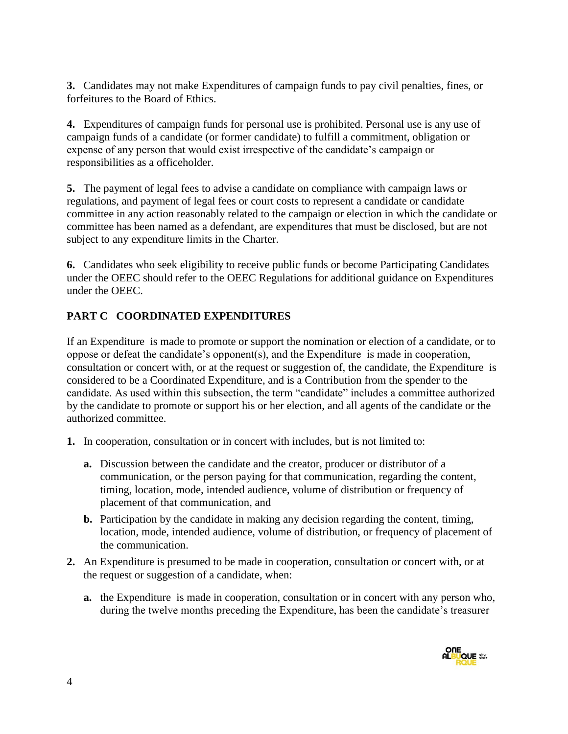**3.** Candidates may not make Expenditures of campaign funds to pay civil penalties, fines, or forfeitures to the Board of Ethics.

**4.** Expenditures of campaign funds for personal use is prohibited. Personal use is any use of campaign funds of a candidate (or former candidate) to fulfill a commitment, obligation or expense of any person that would exist irrespective of the candidate's campaign or responsibilities as a officeholder.

**5.** The payment of legal fees to advise a candidate on compliance with campaign laws or regulations, and payment of legal fees or court costs to represent a candidate or candidate committee in any action reasonably related to the campaign or election in which the candidate or committee has been named as a defendant, are expenditures that must be disclosed, but are not subject to any expenditure limits in the Charter.

**6.** Candidates who seek eligibility to receive public funds or become Participating Candidates under the OEEC should refer to the OEEC Regulations for additional guidance on Expenditures under the OEEC.

# **PART C COORDINATED EXPENDITURES**

If an Expenditure is made to promote or support the nomination or election of a candidate, or to oppose or defeat the candidate's opponent(s), and the Expenditure is made in cooperation, consultation or concert with, or at the request or suggestion of, the candidate, the Expenditure is considered to be a Coordinated Expenditure, and is a Contribution from the spender to the candidate. As used within this subsection, the term "candidate" includes a committee authorized by the candidate to promote or support his or her election, and all agents of the candidate or the authorized committee.

- **1.** In cooperation, consultation or in concert with includes, but is not limited to:
	- **a.** Discussion between the candidate and the creator, producer or distributor of a communication, or the person paying for that communication, regarding the content, timing, location, mode, intended audience, volume of distribution or frequency of placement of that communication, and
	- **b.** Participation by the candidate in making any decision regarding the content, timing, location, mode, intended audience, volume of distribution, or frequency of placement of the communication.
- **2.** An Expenditure is presumed to be made in cooperation, consultation or concert with, or at the request or suggestion of a candidate, when:
	- **a.** the Expenditure is made in cooperation, consultation or in concert with any person who, during the twelve months preceding the Expenditure, has been the candidate's treasurer

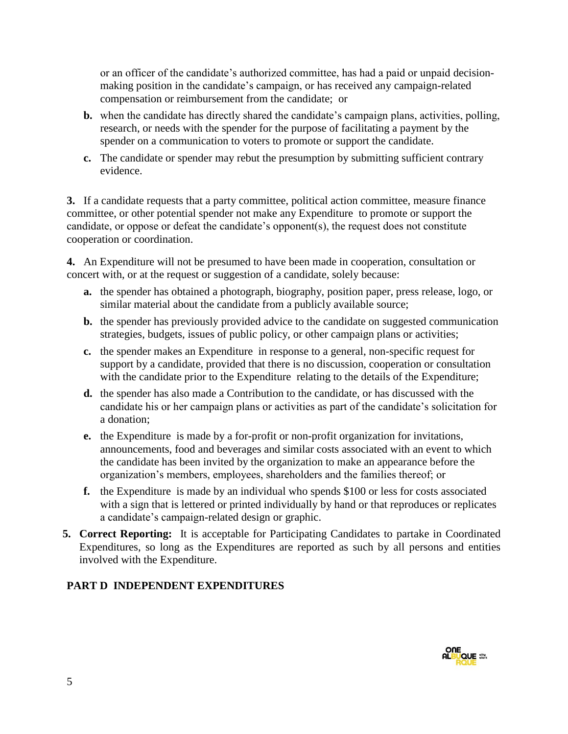or an officer of the candidate's authorized committee, has had a paid or unpaid decisionmaking position in the candidate's campaign, or has received any campaign-related compensation or reimbursement from the candidate; or

- **b.** when the candidate has directly shared the candidate's campaign plans, activities, polling, research, or needs with the spender for the purpose of facilitating a payment by the spender on a communication to voters to promote or support the candidate.
- **c.** The candidate or spender may rebut the presumption by submitting sufficient contrary evidence.

**3.** If a candidate requests that a party committee, political action committee, measure finance committee, or other potential spender not make any Expenditure to promote or support the candidate, or oppose or defeat the candidate's opponent(s), the request does not constitute cooperation or coordination.

**4.** An Expenditure will not be presumed to have been made in cooperation, consultation or concert with, or at the request or suggestion of a candidate, solely because:

- **a.** the spender has obtained a photograph, biography, position paper, press release, logo, or similar material about the candidate from a publicly available source;
- **b.** the spender has previously provided advice to the candidate on suggested communication strategies, budgets, issues of public policy, or other campaign plans or activities;
- **c.** the spender makes an Expenditure in response to a general, non-specific request for support by a candidate, provided that there is no discussion, cooperation or consultation with the candidate prior to the Expenditure relating to the details of the Expenditure;
- **d.** the spender has also made a Contribution to the candidate, or has discussed with the candidate his or her campaign plans or activities as part of the candidate's solicitation for a donation;
- **e.** the Expenditure is made by a for-profit or non-profit organization for invitations, announcements, food and beverages and similar costs associated with an event to which the candidate has been invited by the organization to make an appearance before the organization's members, employees, shareholders and the families thereof; or
- **f.** the Expenditure is made by an individual who spends \$100 or less for costs associated with a sign that is lettered or printed individually by hand or that reproduces or replicates a candidate's campaign-related design or graphic.
- **5. Correct Reporting:** It is acceptable for Participating Candidates to partake in Coordinated Expenditures, so long as the Expenditures are reported as such by all persons and entities involved with the Expenditure.

### **PART D INDEPENDENT EXPENDITURES**

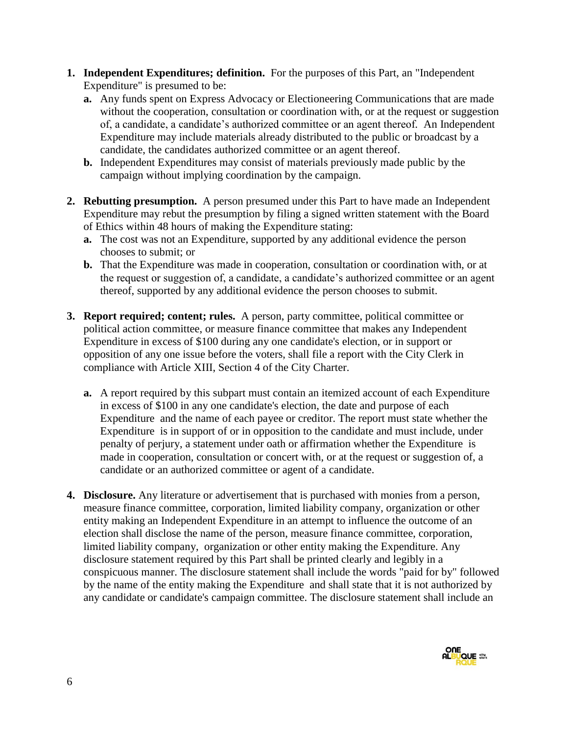- **1. Independent Expenditures; definition.** For the purposes of this Part, an "Independent Expenditure" is presumed to be:
	- **a.** Any funds spent on Express Advocacy or Electioneering Communications that are made without the cooperation, consultation or coordination with, or at the request or suggestion of, a candidate, a candidate's authorized committee or an agent thereof*.* An Independent Expenditure may include materials already distributed to the public or broadcast by a candidate, the candidates authorized committee or an agent thereof.
	- **b.** Independent Expenditures may consist of materials previously made public by the campaign without implying coordination by the campaign.
- **2. Rebutting presumption.** A person presumed under this Part to have made an Independent Expenditure may rebut the presumption by filing a signed written statement with the Board of Ethics within 48 hours of making the Expenditure stating:
	- **a.** The cost was not an Expenditure, supported by any additional evidence the person chooses to submit; or
	- **b.** That the Expenditure was made in cooperation, consultation or coordination with, or at the request or suggestion of, a candidate, a candidate's authorized committee or an agent thereof, supported by any additional evidence the person chooses to submit.
- **3. Report required; content; rules.** A person, party committee, political committee or political action committee, or measure finance committee that makes any Independent Expenditure in excess of \$100 during any one candidate's election, or in support or opposition of any one issue before the voters, shall file a report with the City Clerk in compliance with Article XIII, Section 4 of the City Charter.
	- **a.** A report required by this subpart must contain an itemized account of each Expenditure in excess of \$100 in any one candidate's election, the date and purpose of each Expenditure and the name of each payee or creditor. The report must state whether the Expenditure is in support of or in opposition to the candidate and must include, under penalty of perjury, a statement under oath or affirmation whether the Expenditure is made in cooperation, consultation or concert with, or at the request or suggestion of, a candidate or an authorized committee or agent of a candidate.
- **4. Disclosure.** Any literature or advertisement that is purchased with monies from a person, measure finance committee, corporation, limited liability company, organization or other entity making an Independent Expenditure in an attempt to influence the outcome of an election shall disclose the name of the person, measure finance committee, corporation, limited liability company, organization or other entity making the Expenditure. Any disclosure statement required by this Part shall be printed clearly and legibly in a conspicuous manner. The disclosure statement shall include the words "paid for by" followed by the name of the entity making the Expenditure and shall state that it is not authorized by any candidate or candidate's campaign committee. The disclosure statement shall include an

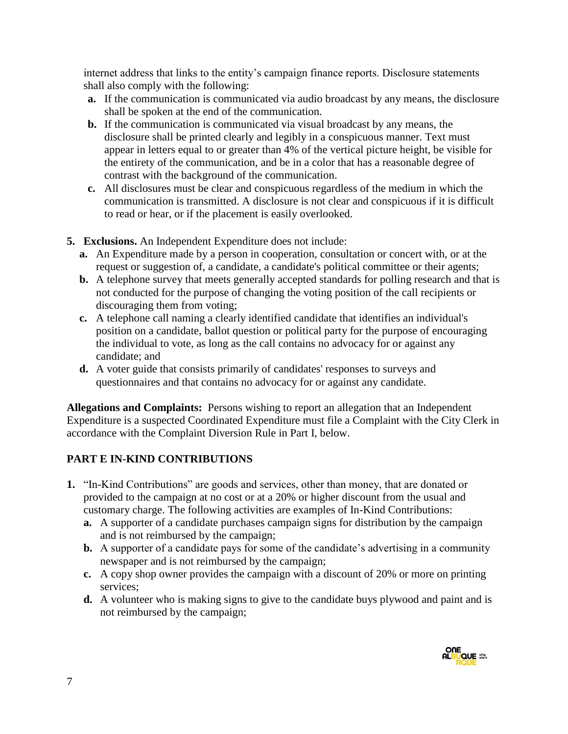internet address that links to the entity's campaign finance reports. Disclosure statements shall also comply with the following:

- **a.** If the communication is communicated via audio broadcast by any means, the disclosure shall be spoken at the end of the communication.
- **b.** If the communication is communicated via visual broadcast by any means, the disclosure shall be printed clearly and legibly in a conspicuous manner. Text must appear in letters equal to or greater than 4% of the vertical picture height, be visible for the entirety of the communication, and be in a color that has a reasonable degree of contrast with the background of the communication.
- **c.** All disclosures must be clear and conspicuous regardless of the medium in which the communication is transmitted. A disclosure is not clear and conspicuous if it is difficult to read or hear, or if the placement is easily overlooked.
- **5. Exclusions.** An Independent Expenditure does not include:
	- **a.** An Expenditure made by a person in cooperation, consultation or concert with, or at the request or suggestion of, a candidate, a candidate's political committee or their agents;
	- **b.** A telephone survey that meets generally accepted standards for polling research and that is not conducted for the purpose of changing the voting position of the call recipients or discouraging them from voting;
	- **c.** A telephone call naming a clearly identified candidate that identifies an individual's position on a candidate, ballot question or political party for the purpose of encouraging the individual to vote, as long as the call contains no advocacy for or against any candidate; and
	- **d.** A voter guide that consists primarily of candidates' responses to surveys and questionnaires and that contains no advocacy for or against any candidate.

**Allegations and Complaints:** Persons wishing to report an allegation that an Independent Expenditure is a suspected Coordinated Expenditure must file a Complaint with the City Clerk in accordance with the Complaint Diversion Rule in Part I, below.

# **PART E IN-KIND CONTRIBUTIONS**

- **1.** "In-Kind Contributions" are goods and services, other than money, that are donated or provided to the campaign at no cost or at a 20% or higher discount from the usual and customary charge. The following activities are examples of In-Kind Contributions:
	- **a.** A supporter of a candidate purchases campaign signs for distribution by the campaign and is not reimbursed by the campaign;
	- **b.** A supporter of a candidate pays for some of the candidate's advertising in a community newspaper and is not reimbursed by the campaign;
	- **c.** A copy shop owner provides the campaign with a discount of 20% or more on printing services;
	- **d.** A volunteer who is making signs to give to the candidate buys plywood and paint and is not reimbursed by the campaign;

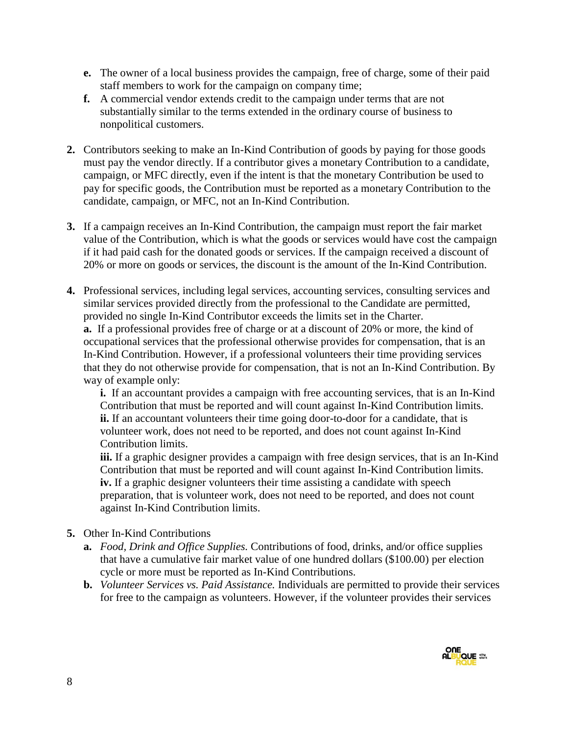- **e.** The owner of a local business provides the campaign, free of charge, some of their paid staff members to work for the campaign on company time;
- **f.** A commercial vendor extends credit to the campaign under terms that are not substantially similar to the terms extended in the ordinary course of business to nonpolitical customers.
- **2.** Contributors seeking to make an In-Kind Contribution of goods by paying for those goods must pay the vendor directly. If a contributor gives a monetary Contribution to a candidate, campaign, or MFC directly, even if the intent is that the monetary Contribution be used to pay for specific goods, the Contribution must be reported as a monetary Contribution to the candidate, campaign, or MFC, not an In-Kind Contribution.
- **3.** If a campaign receives an In-Kind Contribution, the campaign must report the fair market value of the Contribution, which is what the goods or services would have cost the campaign if it had paid cash for the donated goods or services. If the campaign received a discount of 20% or more on goods or services, the discount is the amount of the In-Kind Contribution.
- **4.** Professional services, including legal services, accounting services, consulting services and similar services provided directly from the professional to the Candidate are permitted, provided no single In-Kind Contributor exceeds the limits set in the Charter. **a.** If a professional provides free of charge or at a discount of 20% or more, the kind of occupational services that the professional otherwise provides for compensation, that is an In-Kind Contribution. However, if a professional volunteers their time providing services that they do not otherwise provide for compensation, that is not an In-Kind Contribution. By way of example only:

**i.** If an accountant provides a campaign with free accounting services, that is an In-Kind Contribution that must be reported and will count against In-Kind Contribution limits. **ii.** If an accountant volunteers their time going door-to-door for a candidate, that is volunteer work, does not need to be reported, and does not count against In-Kind Contribution limits.

**iii.** If a graphic designer provides a campaign with free design services, that is an In-Kind Contribution that must be reported and will count against In-Kind Contribution limits. **iv.** If a graphic designer volunteers their time assisting a candidate with speech preparation, that is volunteer work, does not need to be reported, and does not count against In-Kind Contribution limits.

#### **5.** Other In-Kind Contributions

- **a.** *Food, Drink and Office Supplies.* Contributions of food, drinks, and/or office supplies that have a cumulative fair market value of one hundred dollars (\$100.00) per election cycle or more must be reported as In-Kind Contributions.
- **b.** *Volunteer Services vs. Paid Assistance.* Individuals are permitted to provide their services for free to the campaign as volunteers. However, if the volunteer provides their services

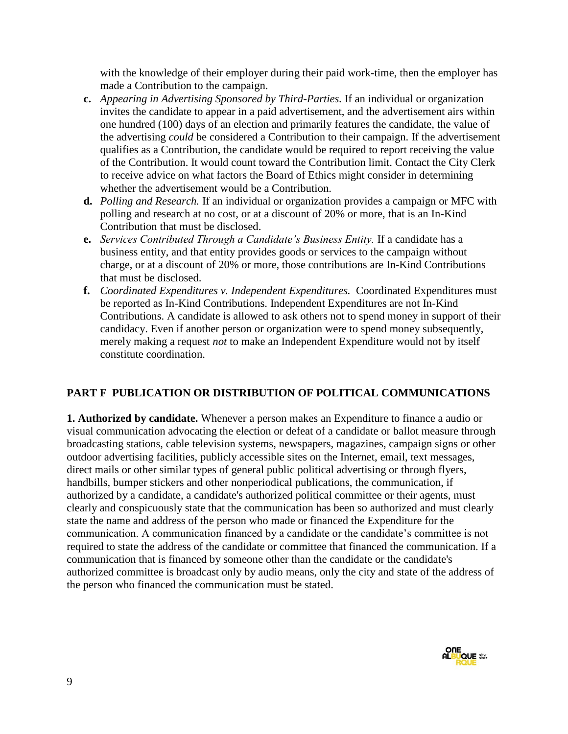with the knowledge of their employer during their paid work-time, then the employer has made a Contribution to the campaign.

- **c.** *Appearing in Advertising Sponsored by Third-Parties.* If an individual or organization invites the candidate to appear in a paid advertisement, and the advertisement airs within one hundred (100) days of an election and primarily features the candidate, the value of the advertising *could* be considered a Contribution to their campaign. If the advertisement qualifies as a Contribution, the candidate would be required to report receiving the value of the Contribution. It would count toward the Contribution limit. Contact the City Clerk to receive advice on what factors the Board of Ethics might consider in determining whether the advertisement would be a Contribution.
- **d.** *Polling and Research.* If an individual or organization provides a campaign or MFC with polling and research at no cost, or at a discount of 20% or more, that is an In-Kind Contribution that must be disclosed.
- **e.** *Services Contributed Through a Candidate's Business Entity.* If a candidate has a business entity, and that entity provides goods or services to the campaign without charge, or at a discount of 20% or more, those contributions are In-Kind Contributions that must be disclosed.
- **f.** *Coordinated Expenditures v. Independent Expenditures.* Coordinated Expenditures must be reported as In-Kind Contributions. Independent Expenditures are not In-Kind Contributions. A candidate is allowed to ask others not to spend money in support of their candidacy. Even if another person or organization were to spend money subsequently, merely making a request *not* to make an Independent Expenditure would not by itself constitute coordination.

### **PART F PUBLICATION OR DISTRIBUTION OF POLITICAL COMMUNICATIONS**

**1. Authorized by candidate.** Whenever a person makes an Expenditure to finance a audio or visual communication advocating the election or defeat of a candidate or ballot measure through broadcasting stations, cable television systems, newspapers, magazines, campaign signs or other outdoor advertising facilities, publicly accessible sites on the Internet, email, text messages, direct mails or other similar types of general public political advertising or through flyers, handbills, bumper stickers and other nonperiodical publications, the communication, if authorized by a candidate, a candidate's authorized political committee or their agents, must clearly and conspicuously state that the communication has been so authorized and must clearly state the name and address of the person who made or financed the Expenditure for the communication. A communication financed by a candidate or the candidate's committee is not required to state the address of the candidate or committee that financed the communication. If a communication that is financed by someone other than the candidate or the candidate's authorized committee is broadcast only by audio means, only the city and state of the address of the person who financed the communication must be stated.

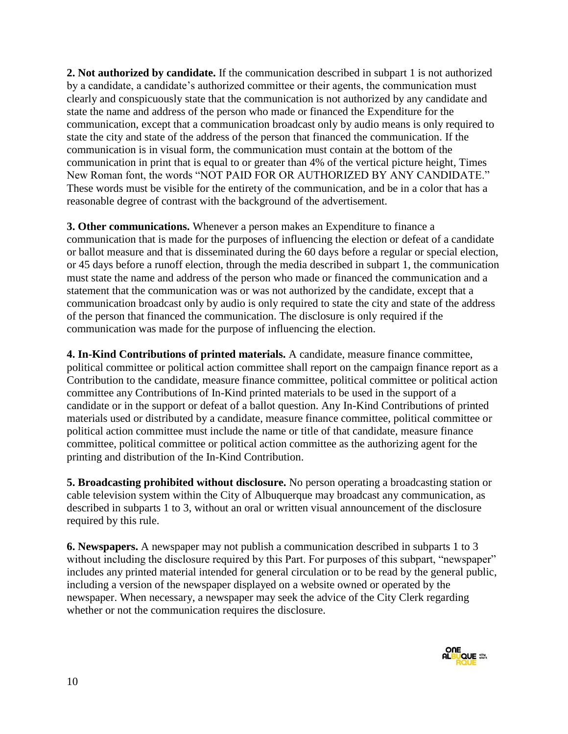**2. Not authorized by candidate.** If the communication described in subpart 1 is not authorized by a candidate, a candidate's authorized committee or their agents, the communication must clearly and conspicuously state that the communication is not authorized by any candidate and state the name and address of the person who made or financed the Expenditure for the communication, except that a communication broadcast only by audio means is only required to state the city and state of the address of the person that financed the communication. If the communication is in visual form, the communication must contain at the bottom of the communication in print that is equal to or greater than 4% of the vertical picture height, Times New Roman font, the words "NOT PAID FOR OR AUTHORIZED BY ANY CANDIDATE." These words must be visible for the entirety of the communication, and be in a color that has a reasonable degree of contrast with the background of the advertisement.

**3. Other communications.** Whenever a person makes an Expenditure to finance a communication that is made for the purposes of influencing the election or defeat of a candidate or ballot measure and that is disseminated during the 60 days before a regular or special election, or 45 days before a runoff election, through the media described in subpart 1, the communication must state the name and address of the person who made or financed the communication and a statement that the communication was or was not authorized by the candidate, except that a communication broadcast only by audio is only required to state the city and state of the address of the person that financed the communication. The disclosure is only required if the communication was made for the purpose of influencing the election.

**4. In-Kind Contributions of printed materials.** A candidate, measure finance committee, political committee or political action committee shall report on the campaign finance report as a Contribution to the candidate, measure finance committee, political committee or political action committee any Contributions of In-Kind printed materials to be used in the support of a candidate or in the support or defeat of a ballot question. Any In-Kind Contributions of printed materials used or distributed by a candidate, measure finance committee, political committee or political action committee must include the name or title of that candidate, measure finance committee, political committee or political action committee as the authorizing agent for the printing and distribution of the In-Kind Contribution.

**5. Broadcasting prohibited without disclosure.** No person operating a broadcasting station or cable television system within the City of Albuquerque may broadcast any communication, as described in subparts 1 to 3, without an oral or written visual announcement of the disclosure required by this rule.

**6. Newspapers.** A newspaper may not publish a communication described in subparts 1 to 3 without including the disclosure required by this Part. For purposes of this subpart, "newspaper" includes any printed material intended for general circulation or to be read by the general public, including a version of the newspaper displayed on a website owned or operated by the newspaper. When necessary, a newspaper may seek the advice of the City Clerk regarding whether or not the communication requires the disclosure.

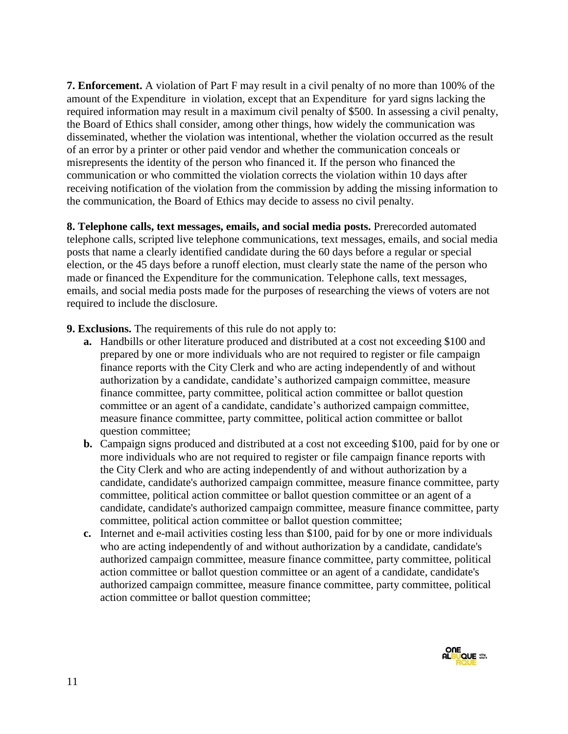**7. Enforcement.** A violation of Part F may result in a civil penalty of no more than 100% of the amount of the Expenditure in violation, except that an Expenditure for yard signs lacking the required information may result in a maximum civil penalty of \$500. In assessing a civil penalty, the Board of Ethics shall consider, among other things, how widely the communication was disseminated, whether the violation was intentional, whether the violation occurred as the result of an error by a printer or other paid vendor and whether the communication conceals or misrepresents the identity of the person who financed it. If the person who financed the communication or who committed the violation corrects the violation within 10 days after receiving notification of the violation from the commission by adding the missing information to the communication, the Board of Ethics may decide to assess no civil penalty.

**8. Telephone calls, text messages, emails, and social media posts.** Prerecorded automated telephone calls, scripted live telephone communications, text messages, emails, and social media posts that name a clearly identified candidate during the 60 days before a regular or special election, or the 45 days before a runoff election, must clearly state the name of the person who made or financed the Expenditure for the communication. Telephone calls, text messages, emails, and social media posts made for the purposes of researching the views of voters are not required to include the disclosure.

**9. Exclusions.** The requirements of this rule do not apply to:

- **a.** Handbills or other literature produced and distributed at a cost not exceeding \$100 and prepared by one or more individuals who are not required to register or file campaign finance reports with the City Clerk and who are acting independently of and without authorization by a candidate, candidate's authorized campaign committee, measure finance committee, party committee, political action committee or ballot question committee or an agent of a candidate, candidate's authorized campaign committee, measure finance committee, party committee, political action committee or ballot question committee;
- **b.** Campaign signs produced and distributed at a cost not exceeding \$100, paid for by one or more individuals who are not required to register or file campaign finance reports with the City Clerk and who are acting independently of and without authorization by a candidate, candidate's authorized campaign committee, measure finance committee, party committee, political action committee or ballot question committee or an agent of a candidate, candidate's authorized campaign committee, measure finance committee, party committee, political action committee or ballot question committee;
- **c.** Internet and e-mail activities costing less than \$100, paid for by one or more individuals who are acting independently of and without authorization by a candidate, candidate's authorized campaign committee, measure finance committee, party committee, political action committee or ballot question committee or an agent of a candidate, candidate's authorized campaign committee, measure finance committee, party committee, political action committee or ballot question committee;

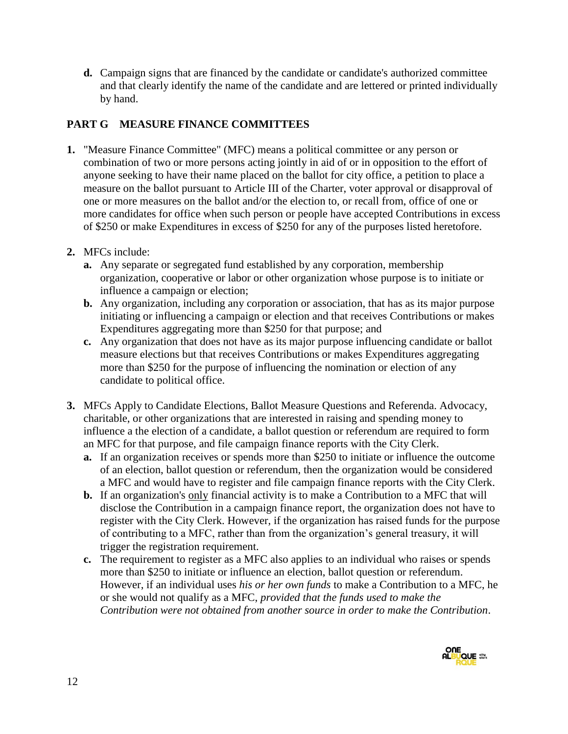**d.** Campaign signs that are financed by the candidate or candidate's authorized committee and that clearly identify the name of the candidate and are lettered or printed individually by hand.

### **PART G MEASURE FINANCE COMMITTEES**

- **1.** "Measure Finance Committee" (MFC) means a political committee or any person or combination of two or more persons acting jointly in aid of or in opposition to the effort of anyone seeking to have their name placed on the ballot for city office, a petition to place a measure on the ballot pursuant to Article III of the Charter, voter approval or disapproval of one or more measures on the ballot and/or the election to, or recall from, office of one or more candidates for office when such person or people have accepted Contributions in excess of \$250 or make Expenditures in excess of \$250 for any of the purposes listed heretofore.
- **2.** MFCs include:
	- **a.** Any separate or segregated fund established by any corporation, membership organization, cooperative or labor or other organization whose purpose is to initiate or influence a campaign or election;
	- **b.** Any organization, including any corporation or association, that has as its major purpose initiating or influencing a campaign or election and that receives Contributions or makes Expenditures aggregating more than \$250 for that purpose; and
	- **c.** Any organization that does not have as its major purpose influencing candidate or ballot measure elections but that receives Contributions or makes Expenditures aggregating more than \$250 for the purpose of influencing the nomination or election of any candidate to political office.
- **3.** MFCs Apply to Candidate Elections, Ballot Measure Questions and Referenda. Advocacy, charitable, or other organizations that are interested in raising and spending money to influence a the election of a candidate, a ballot question or referendum are required to form an MFC for that purpose, and file campaign finance reports with the City Clerk.
	- **a.** If an organization receives or spends more than \$250 to initiate or influence the outcome of an election, ballot question or referendum, then the organization would be considered a MFC and would have to register and file campaign finance reports with the City Clerk.
	- **b.** If an organization's only financial activity is to make a Contribution to a MFC that will disclose the Contribution in a campaign finance report, the organization does not have to register with the City Clerk. However, if the organization has raised funds for the purpose of contributing to a MFC, rather than from the organization's general treasury, it will trigger the registration requirement.
	- **c.** The requirement to register as a MFC also applies to an individual who raises or spends more than \$250 to initiate or influence an election, ballot question or referendum. However, if an individual uses *his or her own funds* to make a Contribution to a MFC, he or she would not qualify as a MFC, *provided that the funds used to make the Contribution were not obtained from another source in order to make the Contribution*.

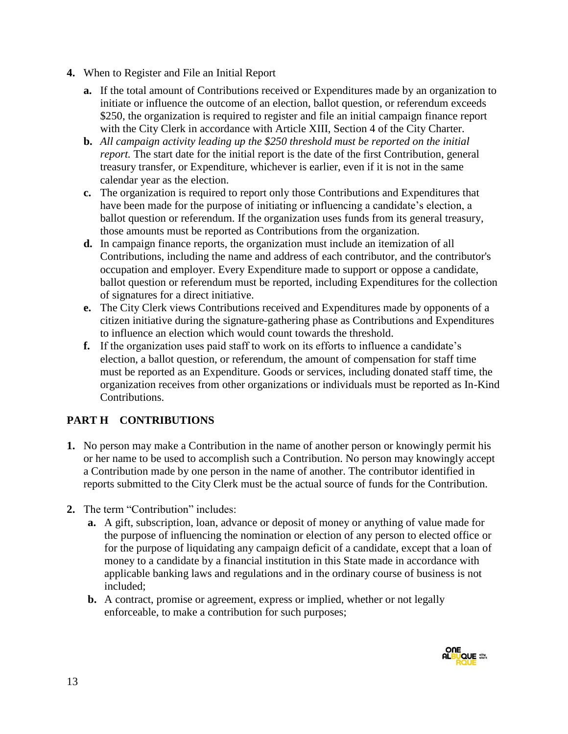- **4.** When to Register and File an Initial Report
	- **a.** If the total amount of Contributions received or Expenditures made by an organization to initiate or influence the outcome of an election, ballot question, or referendum exceeds \$250, the organization is required to register and file an initial campaign finance report with the City Clerk in accordance with Article XIII, Section 4 of the City Charter.
	- **b.** *All campaign activity leading up the \$250 threshold must be reported on the initial report.* The start date for the initial report is the date of the first Contribution, general treasury transfer, or Expenditure, whichever is earlier, even if it is not in the same calendar year as the election.
	- **c.** The organization is required to report only those Contributions and Expenditures that have been made for the purpose of initiating or influencing a candidate's election, a ballot question or referendum. If the organization uses funds from its general treasury, those amounts must be reported as Contributions from the organization.
	- **d.** In campaign finance reports, the organization must include an itemization of all Contributions, including the name and address of each contributor, and the contributor's occupation and employer. Every Expenditure made to support or oppose a candidate, ballot question or referendum must be reported, including Expenditures for the collection of signatures for a direct initiative.
	- **e.** The City Clerk views Contributions received and Expenditures made by opponents of a citizen initiative during the signature-gathering phase as Contributions and Expenditures to influence an election which would count towards the threshold.
	- **f.** If the organization uses paid staff to work on its efforts to influence a candidate's election, a ballot question, or referendum, the amount of compensation for staff time must be reported as an Expenditure. Goods or services, including donated staff time, the organization receives from other organizations or individuals must be reported as In-Kind Contributions.

# **PART H CONTRIBUTIONS**

- **1.** No person may make a Contribution in the name of another person or knowingly permit his or her name to be used to accomplish such a Contribution. No person may knowingly accept a Contribution made by one person in the name of another. The contributor identified in reports submitted to the City Clerk must be the actual source of funds for the Contribution.
- **2.** The term "Contribution" includes:
	- **a.** A gift, subscription, loan, advance or deposit of money or anything of value made for the purpose of influencing the nomination or election of any person to elected office or for the purpose of liquidating any campaign deficit of a candidate, except that a loan of money to a candidate by a financial institution in this State made in accordance with applicable banking laws and regulations and in the ordinary course of business is not included;
	- **b.** A contract, promise or agreement, express or implied, whether or not legally enforceable, to make a contribution for such purposes;

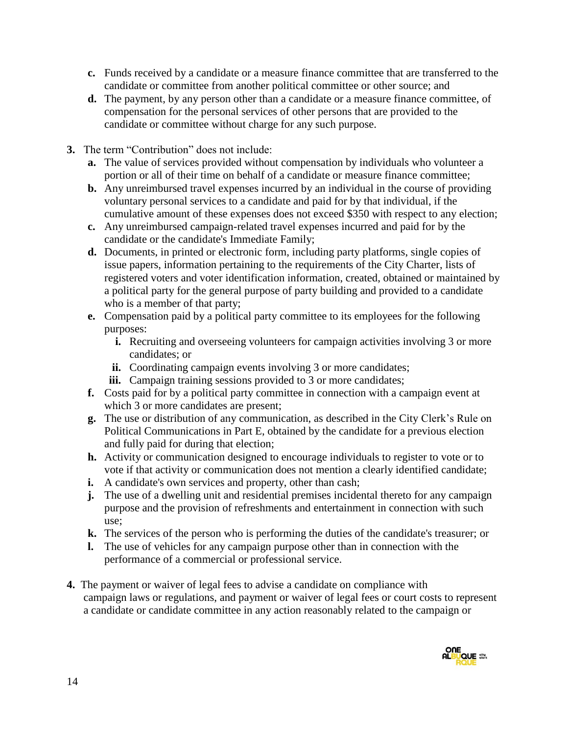- **c.** Funds received by a candidate or a measure finance committee that are transferred to the candidate or committee from another political committee or other source; and
- **d.** The payment, by any person other than a candidate or a measure finance committee, of compensation for the personal services of other persons that are provided to the candidate or committee without charge for any such purpose.
- **3.** The term "Contribution" does not include:
	- **a.** The value of services provided without compensation by individuals who volunteer a portion or all of their time on behalf of a candidate or measure finance committee;
	- **b.** Any unreimbursed travel expenses incurred by an individual in the course of providing voluntary personal services to a candidate and paid for by that individual, if the cumulative amount of these expenses does not exceed \$350 with respect to any election;
	- **c.** Any unreimbursed campaign-related travel expenses incurred and paid for by the candidate or the candidate's Immediate Family;
	- **d.** Documents, in printed or electronic form, including party platforms, single copies of issue papers, information pertaining to the requirements of the City Charter, lists of registered voters and voter identification information, created, obtained or maintained by a political party for the general purpose of party building and provided to a candidate who is a member of that party;
	- **e.** Compensation paid by a political party committee to its employees for the following purposes:
		- **i.** Recruiting and overseeing volunteers for campaign activities involving 3 or more candidates; or
		- **ii.** Coordinating campaign events involving 3 or more candidates;
		- iii. Campaign training sessions provided to 3 or more candidates;
	- **f.** Costs paid for by a political party committee in connection with a campaign event at which 3 or more candidates are present;
	- **g.** The use or distribution of any communication, as described in the City Clerk's Rule on Political Communications in Part E, obtained by the candidate for a previous election and fully paid for during that election;
	- **h.** Activity or communication designed to encourage individuals to register to vote or to vote if that activity or communication does not mention a clearly identified candidate;
	- **i.** A candidate's own services and property, other than cash;
	- **j.** The use of a dwelling unit and residential premises incidental thereto for any campaign purpose and the provision of refreshments and entertainment in connection with such use;
	- **k.** The services of the person who is performing the duties of the candidate's treasurer; or
	- **l.** The use of vehicles for any campaign purpose other than in connection with the performance of a commercial or professional service.
- **4.** The payment or waiver of legal fees to advise a candidate on compliance with campaign laws or regulations, and payment or waiver of legal fees or court costs to represent a candidate or candidate committee in any action reasonably related to the campaign or

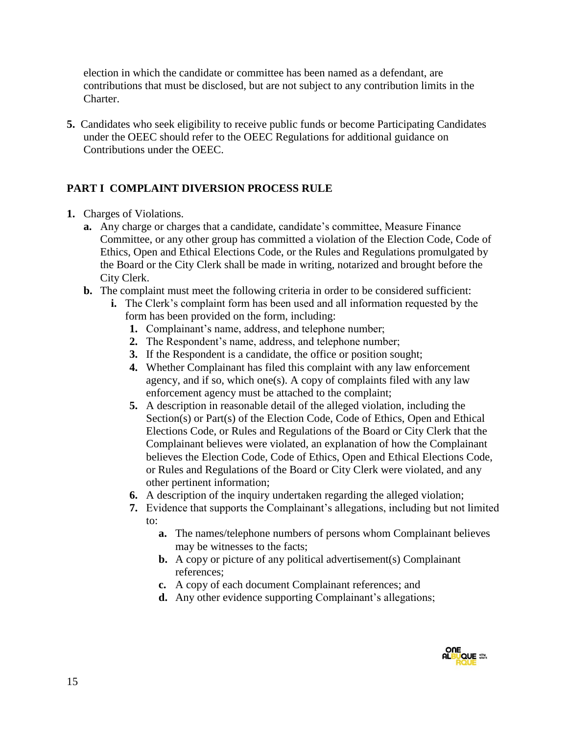election in which the candidate or committee has been named as a defendant, are contributions that must be disclosed, but are not subject to any contribution limits in the Charter.

**5.** Candidates who seek eligibility to receive public funds or become Participating Candidates under the OEEC should refer to the OEEC Regulations for additional guidance on Contributions under the OEEC.

### **PART I COMPLAINT DIVERSION PROCESS RULE**

- **1.** Charges of Violations.
	- **a.** Any charge or charges that a candidate, candidate's committee, Measure Finance Committee, or any other group has committed a violation of the Election Code, Code of Ethics, Open and Ethical Elections Code, or the Rules and Regulations promulgated by the Board or the City Clerk shall be made in writing, notarized and brought before the City Clerk.
	- **b.** The complaint must meet the following criteria in order to be considered sufficient:
		- **i.** The Clerk's complaint form has been used and all information requested by the form has been provided on the form, including:
			- **1.** Complainant's name, address, and telephone number;
			- **2.** The Respondent's name, address, and telephone number;
			- **3.** If the Respondent is a candidate, the office or position sought;
			- **4.** Whether Complainant has filed this complaint with any law enforcement agency, and if so, which one(s). A copy of complaints filed with any law enforcement agency must be attached to the complaint;
			- **5.** A description in reasonable detail of the alleged violation, including the Section(s) or Part(s) of the Election Code, Code of Ethics, Open and Ethical Elections Code, or Rules and Regulations of the Board or City Clerk that the Complainant believes were violated, an explanation of how the Complainant believes the Election Code, Code of Ethics, Open and Ethical Elections Code, or Rules and Regulations of the Board or City Clerk were violated, and any other pertinent information;
			- **6.** A description of the inquiry undertaken regarding the alleged violation;
			- **7.** Evidence that supports the Complainant's allegations, including but not limited to:
				- **a.** The names/telephone numbers of persons whom Complainant believes may be witnesses to the facts;
				- **b.** A copy or picture of any political advertisement(s) Complainant references;
				- **c.** A copy of each document Complainant references; and
				- **d.** Any other evidence supporting Complainant's allegations;

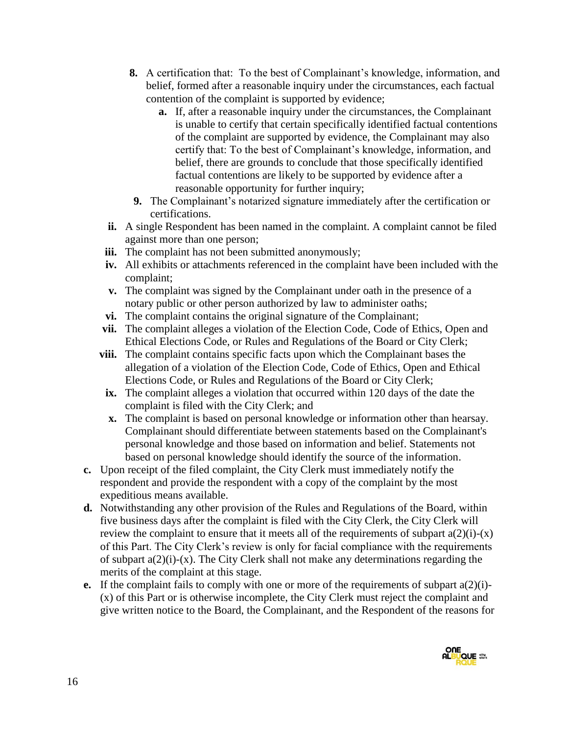- **8.** A certification that: To the best of Complainant's knowledge, information, and belief, formed after a reasonable inquiry under the circumstances, each factual contention of the complaint is supported by evidence;
	- **a.** If, after a reasonable inquiry under the circumstances, the Complainant is unable to certify that certain specifically identified factual contentions of the complaint are supported by evidence, the Complainant may also certify that: To the best of Complainant's knowledge, information, and belief, there are grounds to conclude that those specifically identified factual contentions are likely to be supported by evidence after a reasonable opportunity for further inquiry;
- **9.** The Complainant's notarized signature immediately after the certification or certifications.
- **ii.** A single Respondent has been named in the complaint. A complaint cannot be filed against more than one person;
- **iii.** The complaint has not been submitted anonymously;
- **iv.** All exhibits or attachments referenced in the complaint have been included with the complaint;
- **v.** The complaint was signed by the Complainant under oath in the presence of a notary public or other person authorized by law to administer oaths;
- **vi.** The complaint contains the original signature of the Complainant;
- **vii.** The complaint alleges a violation of the Election Code, Code of Ethics, Open and Ethical Elections Code, or Rules and Regulations of the Board or City Clerk;
- **viii.** The complaint contains specific facts upon which the Complainant bases the allegation of a violation of the Election Code, Code of Ethics, Open and Ethical Elections Code, or Rules and Regulations of the Board or City Clerk;
- **ix.** The complaint alleges a violation that occurred within 120 days of the date the complaint is filed with the City Clerk; and
- **x.** The complaint is based on personal knowledge or information other than hearsay. Complainant should differentiate between statements based on the Complainant's personal knowledge and those based on information and belief. Statements not based on personal knowledge should identify the source of the information.
- **c.** Upon receipt of the filed complaint, the City Clerk must immediately notify the respondent and provide the respondent with a copy of the complaint by the most expeditious means available.
- **d.** Notwithstanding any other provision of the Rules and Regulations of the Board, within five business days after the complaint is filed with the City Clerk, the City Clerk will review the complaint to ensure that it meets all of the requirements of subpart  $a(2)(i)-(x)$ of this Part. The City Clerk's review is only for facial compliance with the requirements of subpart  $a(2)(i)-(x)$ . The City Clerk shall not make any determinations regarding the merits of the complaint at this stage.
- **e.** If the complaint fails to comply with one or more of the requirements of subpart a(2)(i)- (x) of this Part or is otherwise incomplete, the City Clerk must reject the complaint and give written notice to the Board, the Complainant, and the Respondent of the reasons for

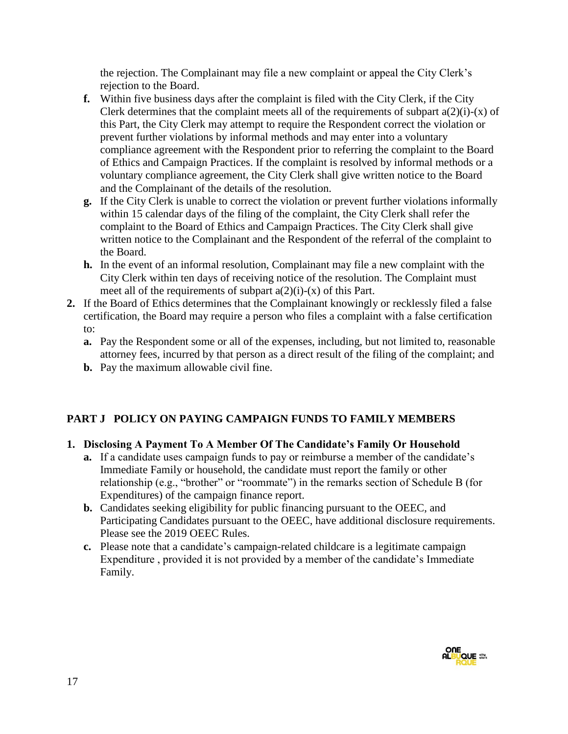the rejection. The Complainant may file a new complaint or appeal the City Clerk's rejection to the Board.

- **f.** Within five business days after the complaint is filed with the City Clerk, if the City Clerk determines that the complaint meets all of the requirements of subpart  $a(2)(i)-(x)$  of this Part, the City Clerk may attempt to require the Respondent correct the violation or prevent further violations by informal methods and may enter into a voluntary compliance agreement with the Respondent prior to referring the complaint to the Board of Ethics and Campaign Practices. If the complaint is resolved by informal methods or a voluntary compliance agreement, the City Clerk shall give written notice to the Board and the Complainant of the details of the resolution.
- **g.** If the City Clerk is unable to correct the violation or prevent further violations informally within 15 calendar days of the filing of the complaint, the City Clerk shall refer the complaint to the Board of Ethics and Campaign Practices. The City Clerk shall give written notice to the Complainant and the Respondent of the referral of the complaint to the Board.
- **h.** In the event of an informal resolution, Complainant may file a new complaint with the City Clerk within ten days of receiving notice of the resolution. The Complaint must meet all of the requirements of subpart  $a(2)(i)-(x)$  of this Part.
- **2.** If the Board of Ethics determines that the Complainant knowingly or recklessly filed a false certification, the Board may require a person who files a complaint with a false certification to:
	- **a.** Pay the Respondent some or all of the expenses, including, but not limited to, reasonable attorney fees, incurred by that person as a direct result of the filing of the complaint; and
	- **b.** Pay the maximum allowable civil fine.

# **PART J POLICY ON PAYING CAMPAIGN FUNDS TO FAMILY MEMBERS**

# **1. Disclosing A Payment To A Member Of The Candidate's Family Or Household**

- **a.** If a candidate uses campaign funds to pay or reimburse a member of the candidate's Immediate Family or household, the candidate must report the family or other relationship (e.g., "brother" or "roommate") in the remarks section of Schedule B (for Expenditures) of the campaign finance report.
- **b.** Candidates seeking eligibility for public financing pursuant to the OEEC, and Participating Candidates pursuant to the OEEC, have additional disclosure requirements. Please see the 2019 OEEC Rules.
- **c.** Please note that a candidate's campaign-related childcare is a legitimate campaign Expenditure , provided it is not provided by a member of the candidate's Immediate Family.

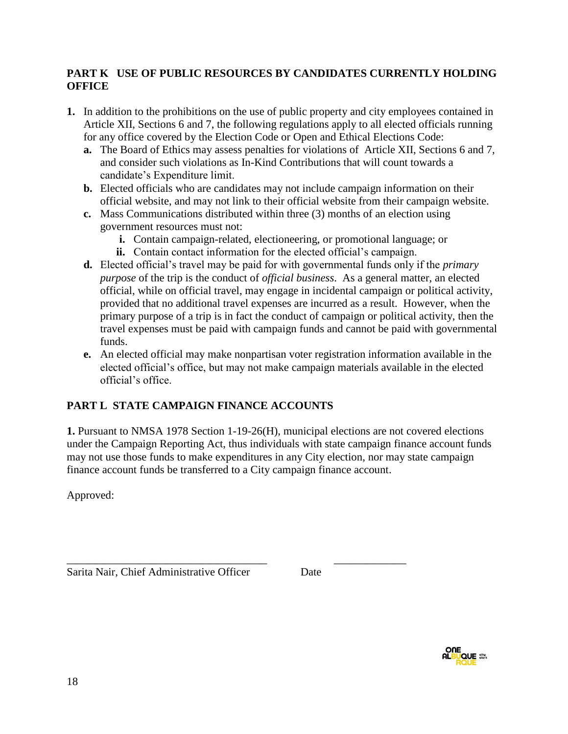### **PART K USE OF PUBLIC RESOURCES BY CANDIDATES CURRENTLY HOLDING OFFICE**

- **1.** In addition to the prohibitions on the use of public property and city employees contained in Article XII, Sections 6 and 7, the following regulations apply to all elected officials running for any office covered by the Election Code or Open and Ethical Elections Code:
	- **a.** The Board of Ethics may assess penalties for violations of Article XII, Sections 6 and 7, and consider such violations as In-Kind Contributions that will count towards a candidate's Expenditure limit.
	- **b.** Elected officials who are candidates may not include campaign information on their official website, and may not link to their official website from their campaign website.
	- **c.** Mass Communications distributed within three (3) months of an election using government resources must not:
		- **i.** Contain campaign-related, electioneering, or promotional language; or
		- **ii.** Contain contact information for the elected official's campaign.
	- **d.** Elected official's travel may be paid for with governmental funds only if the *primary purpose* of the trip is the conduct of *official business*. As a general matter, an elected official, while on official travel, may engage in incidental campaign or political activity, provided that no additional travel expenses are incurred as a result. However, when the primary purpose of a trip is in fact the conduct of campaign or political activity, then the travel expenses must be paid with campaign funds and cannot be paid with governmental funds.
	- **e.** An elected official may make nonpartisan voter registration information available in the elected official's office, but may not make campaign materials available in the elected official's office.

# **PART L STATE CAMPAIGN FINANCE ACCOUNTS**

**1.** Pursuant to NMSA 1978 Section 1-19-26(H), municipal elections are not covered elections under the Campaign Reporting Act, thus individuals with state campaign finance account funds may not use those funds to make expenditures in any City election, nor may state campaign finance account funds be transferred to a City campaign finance account.

Approved:

\_\_\_\_\_\_\_\_\_\_\_\_\_\_\_\_\_\_\_\_\_\_\_\_\_\_\_\_\_\_\_\_\_\_\_\_ \_\_\_\_\_\_\_\_\_\_\_\_\_ Sarita Nair, Chief Administrative Officer Date